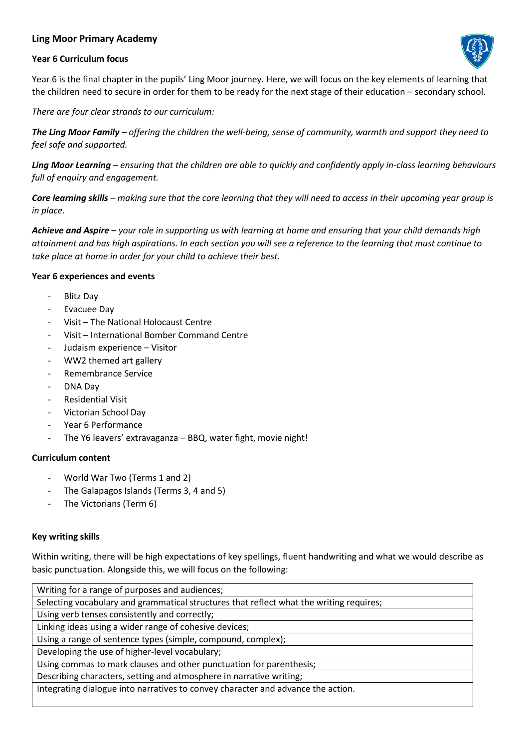### **Ling Moor Primary Academy**

### **Year 6 Curriculum focus**



Year 6 is the final chapter in the pupils' Ling Moor journey. Here, we will focus on the key elements of learning that the children need to secure in order for them to be ready for the next stage of their education – secondary school.

*There are four clear strands to our curriculum:*

*The Ling Moor Family – offering the children the well-being, sense of community, warmth and support they need to feel safe and supported.* 

*Ling Moor Learning – ensuring that the children are able to quickly and confidently apply in-class learning behaviours full of enquiry and engagement.* 

*Core learning skills – making sure that the core learning that they will need to access in their upcoming year group is in place.*

*Achieve and Aspire – your role in supporting us with learning at home and ensuring that your child demands high attainment and has high aspirations. In each section you will see a reference to the learning that must continue to take place at home in order for your child to achieve their best.*

### **Year 6 experiences and events**

- Blitz Day
- Evacuee Day
- Visit The National Holocaust Centre
- Visit International Bomber Command Centre
- Judaism experience Visitor
- WW2 themed art gallery
- Remembrance Service
- DNA Day
- Residential Visit
- Victorian School Day
- Year 6 Performance
- The Y6 leavers' extravaganza BBQ, water fight, movie night!

### **Curriculum content**

- World War Two (Terms 1 and 2)
- The Galapagos Islands (Terms 3, 4 and 5)
- The Victorians (Term 6)

### **Key writing skills**

Within writing, there will be high expectations of key spellings, fluent handwriting and what we would describe as basic punctuation. Alongside this, we will focus on the following:

| Writing for a range of purposes and audiences;                                          |
|-----------------------------------------------------------------------------------------|
| Selecting vocabulary and grammatical structures that reflect what the writing requires; |
| Using verb tenses consistently and correctly;                                           |
| Linking ideas using a wider range of cohesive devices;                                  |
| Using a range of sentence types (simple, compound, complex);                            |
| Developing the use of higher-level vocabulary;                                          |
| Using commas to mark clauses and other punctuation for parenthesis;                     |
| Describing characters, setting and atmosphere in narrative writing;                     |
| Integrating dialogue into narratives to convey character and advance the action.        |
|                                                                                         |